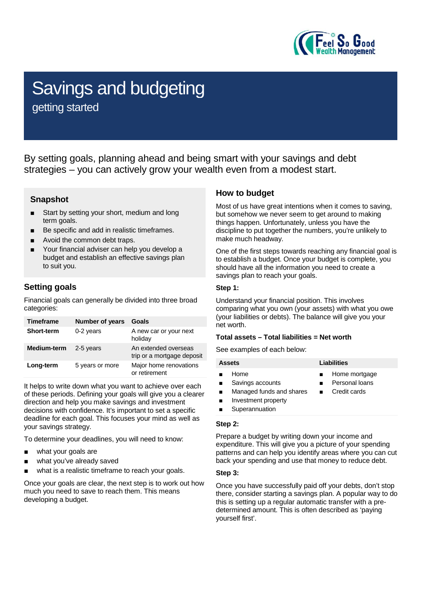

# Savings and budgeting

getting started

By setting goals, planning ahead and being smart with your savings and debt strategies – you can actively grow your wealth even from a modest start.

## **Snapshot**

- Start by setting your short, medium and long term goals.
- Be specific and add in realistic timeframes.
- Avoid the common debt traps.
- Your financial adviser can help you develop a budget and establish an effective savings plan to suit you.

## **Setting goals**

Financial goals can generally be divided into three broad categories:

| <b>Timeframe</b>  | Number of years | Goals                                              |
|-------------------|-----------------|----------------------------------------------------|
| <b>Short-term</b> | 0-2 years       | A new car or your next<br>holiday                  |
| Medium-term       | 2-5 years       | An extended overseas<br>trip or a mortgage deposit |
| Long-term         | 5 years or more | Major home renovations<br>or retirement            |

It helps to write down what you want to achieve over each of these periods. Defining your goals will give you a clearer direction and help you make savings and investment decisions with confidence. It's important to set a specific deadline for each goal. This focuses your mind as well as your savings strategy.

To determine your deadlines, you will need to know:

- what your goals are
- what you've already saved
- what is a realistic timeframe to reach your goals.

Once your goals are clear, the next step is to work out how much you need to save to reach them. This means developing a budget.

## **How to budget**

Most of us have great intentions when it comes to saving, but somehow we never seem to get around to making things happen. Unfortunately, unless you have the discipline to put together the numbers, you're unlikely to make much headway.

One of the first steps towards reaching any financial goal is to establish a budget. Once your budget is complete, you should have all the information you need to create a savings plan to reach your goals.

#### **Step 1:**

Understand your financial position. This involves comparing what you own (your assets) with what you owe (your liabilities or debts). The balance will give you your net worth.

#### **Total assets – Total liabilities = Net worth**

See examples of each below:

| <b>Assets</b>            | Liabilities    |  |
|--------------------------|----------------|--|
| Home                     | Home mortgage  |  |
| Savings accounts         | Personal loans |  |
| Managed funds and shares | Credit cards   |  |
| Investment property      | $\blacksquare$ |  |
| Superannuation           |                |  |

#### **Step 2:**

Prepare a budget by writing down your income and expenditure. This will give you a picture of your spending patterns and can help you identify areas where you can cut back your spending and use that money to reduce debt.

#### **Step 3:**

Once you have successfully paid off your debts, don't stop there, consider starting a savings plan. A popular way to do this is setting up a regular automatic transfer with a predetermined amount. This is often described as 'paying yourself first'.